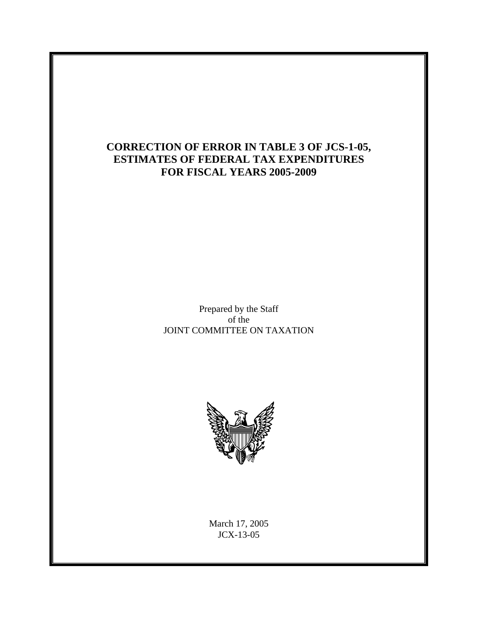# **CORRECTION OF ERROR IN TABLE 3 OF JCS-1-05, ESTIMATES OF FEDERAL TAX EXPENDITURES FOR FISCAL YEARS 2005-2009**

Prepared by the Staff of the JOINT COMMITTEE ON TAXATION



March 17, 2005 JCX-13-05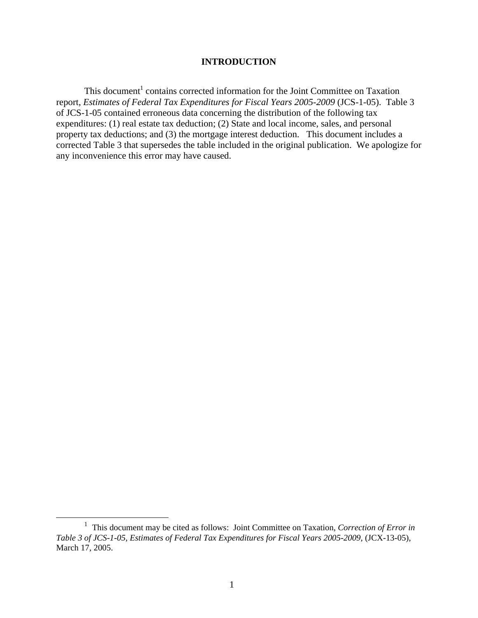#### **INTRODUCTION**

This document<sup>1</sup> contains corrected information for the Joint Committee on Taxation report, *Estimates of Federal Tax Expenditures for Fiscal Years 2005-2009* (JCS-1-05). Table 3 of JCS-1-05 contained erroneous data concerning the distribution of the following tax expenditures: (1) real estate tax deduction; (2) State and local income, sales, and personal property tax deductions; and (3) the mortgage interest deduction. This document includes a corrected Table 3 that supersedes the table included in the original publication. We apologize for any inconvenience this error may have caused.

<sup>&</sup>lt;u>1</u> This document may be cited as follows: Joint Committee on Taxation, *Correction of Error in Table 3 of JCS-1-05, Estimates of Federal Tax Expenditures for Fiscal Years 2005-2009*, (JCX-13-05), March 17, 2005.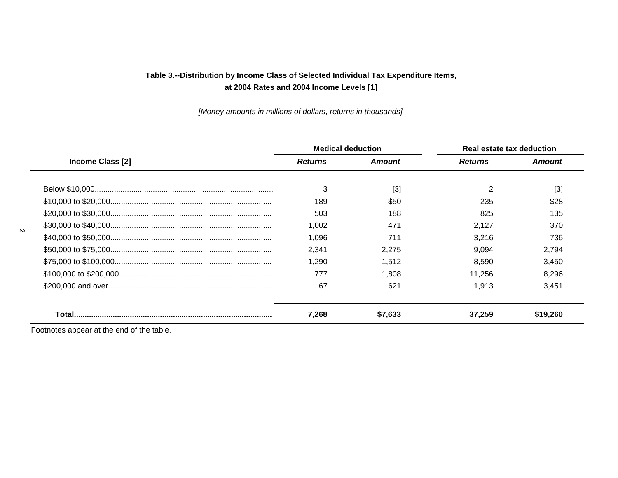*[Money amounts in millions of dollars, returns in thousands]* 

|                         | <b>Medical deduction</b> |         | Real estate tax deduction |               |
|-------------------------|--------------------------|---------|---------------------------|---------------|
| <b>Income Class [2]</b> | <b>Returns</b>           | Amount  | <b>Returns</b>            | <b>Amount</b> |
|                         |                          |         |                           |               |
|                         | 3                        | $[3]$   | $\overline{2}$            | $[3]$         |
|                         | 189                      | \$50    | 235                       | \$28          |
|                         | 503                      | 188     | 825                       | 135           |
|                         | 1.002                    | 471     | 2.127                     | 370           |
|                         | 1.096                    | 711     | 3.216                     | 736           |
|                         | 2.341                    | 2.275   | 9.094                     | 2.794         |
|                         | 1.290                    | 1,512   | 8.590                     | 3,450         |
|                         | 777                      | 1.808   | 11.256                    | 8.296         |
|                         | 67                       | 621     | 1.913                     | 3,451         |
|                         | 7.268                    | \$7,633 | 37.259                    | \$19.260      |

Footnotes appear at the end of the table.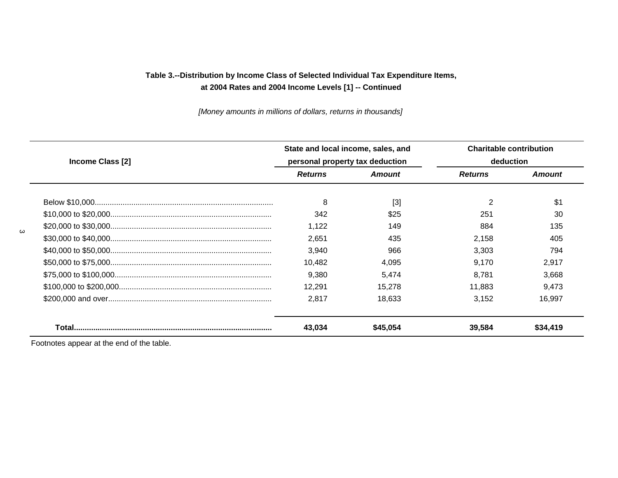*[Money amounts in millions of dollars, returns in thousands]* 

| <b>Income Class [2]</b> | State and local income, sales, and<br>personal property tax deduction |          | <b>Charitable contribution</b><br>deduction |               |
|-------------------------|-----------------------------------------------------------------------|----------|---------------------------------------------|---------------|
|                         | <b>Returns</b>                                                        | Amount   | <b>Returns</b>                              | <b>Amount</b> |
|                         | 8                                                                     | $[3]$    | 2                                           | \$1           |
|                         | 342                                                                   | \$25     | 251                                         | 30            |
|                         | 1.122                                                                 | 149      | 884                                         | 135           |
|                         | 2.651                                                                 | 435      | 2,158                                       | 405           |
|                         | 3,940                                                                 | 966      | 3.303                                       | 794           |
|                         | 10.482                                                                | 4.095    | 9.170                                       | 2,917         |
|                         | 9.380                                                                 | 5.474    | 8.781                                       | 3.668         |
|                         | 12.291                                                                | 15.278   | 11.883                                      | 9,473         |
|                         | 2.817                                                                 | 18,633   | 3.152                                       | 16,997        |
|                         | 43.034                                                                | \$45.054 | 39,584                                      | \$34.419      |

Footnotes appear at the end of the table.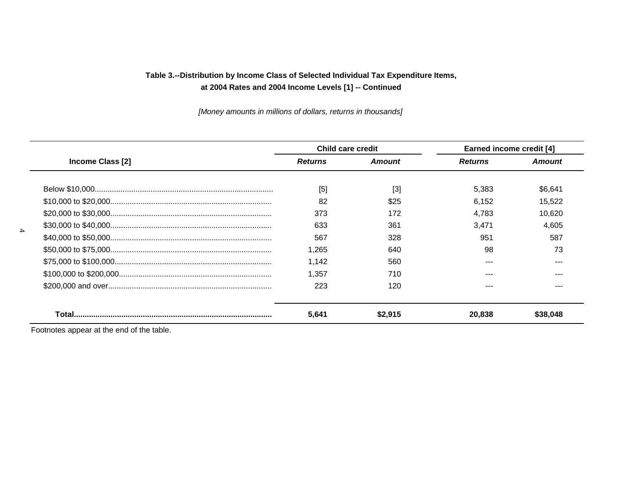*[Money amounts in millions of dollars, returns in thousands]* 

| Income Class [2] | <b>Child care credit</b> |                   | <b>Earned income credit [4]</b> |          |
|------------------|--------------------------|-------------------|---------------------------------|----------|
|                  | <b>Returns</b>           | <b>Amount</b>     | <b>Returns</b>                  | Amount   |
|                  | [5]                      | $\lceil 3 \rceil$ | 5,383                           | \$6,641  |
|                  | 82                       | \$25              | 6.152                           | 15,522   |
|                  | 373                      | 172               | 4.783                           | 10,620   |
|                  | 633                      | 361               | 3,471                           | 4,605    |
|                  | 567                      | 328               | 951                             | 587      |
|                  | 1.265                    | 640               | 98                              | 73       |
|                  | 1.142                    | 560               |                                 |          |
|                  | 1.357                    | 710               |                                 | ---      |
|                  | 223                      | 120               |                                 | ---      |
|                  | 5,641                    | \$2.915           | 20.838                          | \$38.048 |

Footnotes appear at the end of the table.

4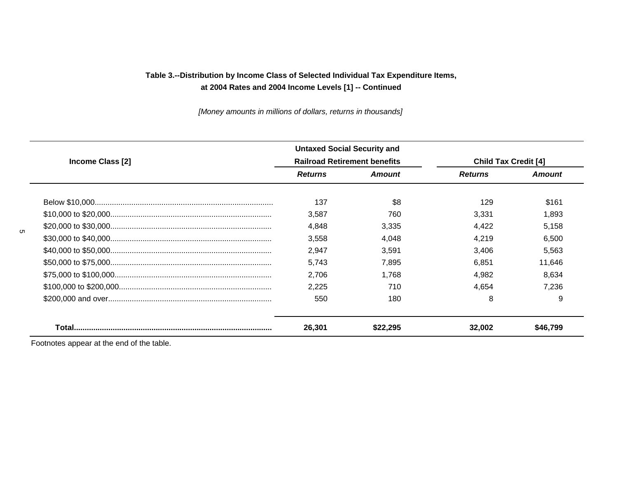*[Money amounts in millions of dollars, returns in thousands]* 

|                  | <b>Untaxed Social Security and</b>  |               |                             |               |
|------------------|-------------------------------------|---------------|-----------------------------|---------------|
| Income Class [2] | <b>Railroad Retirement benefits</b> |               | <b>Child Tax Credit [4]</b> |               |
|                  | <b>Returns</b>                      | <b>Amount</b> | <b>Returns</b>              | <b>Amount</b> |
|                  | 137                                 | \$8           | 129                         | \$161         |
|                  | 3.587                               | 760           | 3.331                       | 1.893         |
|                  | 4.848                               | 3.335         | 4.422                       | 5,158         |
|                  | 3.558                               | 4.048         | 4.219                       | 6,500         |
|                  | 2.947                               | 3.591         | 3,406                       | 5,563         |
|                  | 5.743                               | 7.895         | 6.851                       | 11,646        |
|                  | 2.706                               | 1.768         | 4.982                       | 8.634         |
|                  | 2,225                               | 710           | 4.654                       | 7.236         |
|                  | 550                                 | 180           | 8                           | 9             |
|                  | 26.301                              |               | 32.002                      | 546 799       |

Footnotes appear at the end of the table.